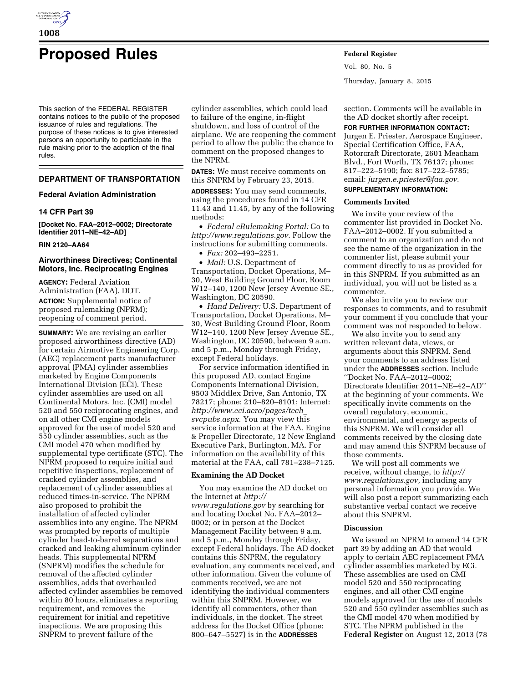

# **Proposed Rules Federal Register**

This section of the FEDERAL REGISTER contains notices to the public of the proposed issuance of rules and regulations. The purpose of these notices is to give interested persons an opportunity to participate in the rule making prior to the adoption of the final rules.

## **DEPARTMENT OF TRANSPORTATION**

## **Federal Aviation Administration**

## **14 CFR Part 39**

**[Docket No. FAA–2012–0002; Directorate Identifier 2011–NE–42–AD]** 

## **RIN 2120–AA64**

## **Airworthiness Directives; Continental Motors, Inc. Reciprocating Engines**

**AGENCY:** Federal Aviation Administration (FAA), DOT. **ACTION:** Supplemental notice of proposed rulemaking (NPRM); reopening of comment period.

**SUMMARY:** We are revising an earlier proposed airworthiness directive (AD) for certain Airmotive Engineering Corp. (AEC) replacement parts manufacturer approval (PMA) cylinder assemblies marketed by Engine Components International Division (ECi). These cylinder assemblies are used on all Continental Motors, Inc. (CMI) model 520 and 550 reciprocating engines, and on all other CMI engine models approved for the use of model 520 and 550 cylinder assemblies, such as the CMI model 470 when modified by supplemental type certificate (STC). The NPRM proposed to require initial and repetitive inspections, replacement of cracked cylinder assemblies, and replacement of cylinder assemblies at reduced times-in-service. The NPRM also proposed to prohibit the installation of affected cylinder assemblies into any engine. The NPRM was prompted by reports of multiple cylinder head-to-barrel separations and cracked and leaking aluminum cylinder heads. This supplemental NPRM (SNPRM) modifies the schedule for removal of the affected cylinder assemblies, adds that overhauled affected cylinder assemblies be removed within 80 hours, eliminates a reporting requirement, and removes the requirement for initial and repetitive inspections. We are proposing this SNPRM to prevent failure of the

cylinder assemblies, which could lead to failure of the engine, in-flight shutdown, and loss of control of the airplane. We are reopening the comment period to allow the public the chance to comment on the proposed changes to the NPRM.

**DATES:** We must receive comments on this SNPRM by February 23, 2015.

**ADDRESSES:** You may send comments, using the procedures found in 14 CFR 11.43 and 11.45, by any of the following methods:

• *Federal eRulemaking Portal:* Go to *<http://www.regulations.gov>*. Follow the instructions for submitting comments.

• *Fax:* 202–493–2251.

• *Mail:* U.S. Department of Transportation, Docket Operations, M– 30, West Building Ground Floor, Room W12–140, 1200 New Jersey Avenue SE., Washington, DC 20590.

• *Hand Delivery:* U.S. Department of Transportation, Docket Operations, M– 30, West Building Ground Floor, Room W12–140, 1200 New Jersey Avenue SE., Washington, DC 20590, between 9 a.m. and 5 p.m., Monday through Friday, except Federal holidays.

For service information identified in this proposed AD, contact Engine Components International Division, 9503 Middlex Drive, San Antonio, TX 78217; phone: 210–820–8101; Internet: *[http://www.eci.aero/pages/tech](http://www.eci.aero/pages/tech_svcpubs.aspx)*\_ *[svcpubs.aspx](http://www.eci.aero/pages/tech_svcpubs.aspx)*. You may view this service information at the FAA, Engine & Propeller Directorate, 12 New England Executive Park, Burlington, MA. For information on the availability of this material at the FAA, call 781–238–7125.

## **Examining the AD Docket**

You may examine the AD docket on the Internet at *[http://](http://www.regulations.gov) [www.regulations.gov](http://www.regulations.gov)* by searching for and locating Docket No. FAA–2012– 0002; or in person at the Docket Management Facility between 9 a.m. and 5 p.m., Monday through Friday, except Federal holidays. The AD docket contains this SNPRM, the regulatory evaluation, any comments received, and other information. Given the volume of comments received, we are not identifying the individual commenters within this SNPRM. However, we identify all commenters, other than individuals, in the docket. The street address for the Docket Office (phone: 800–647–5527) is in the **ADDRESSES**

Vol. 80, No. 5 Thursday, January 8, 2015

section. Comments will be available in the AD docket shortly after receipt.

#### **FOR FURTHER INFORMATION CONTACT:**

Jurgen E. Priester, Aerospace Engineer, Special Certification Office, FAA, Rotorcraft Directorate, 2601 Meacham Blvd., Fort Worth, TX 76137; phone: 817–222–5190; fax: 817–222–5785; email: *[jurgen.e.priester@faa.gov](mailto:jurgen.e.priester@faa.gov)*.

## **SUPPLEMENTARY INFORMATION:**

## **Comments Invited**

We invite your review of the commenter list provided in Docket No. FAA–2012–0002. If you submitted a comment to an organization and do not see the name of the organization in the commenter list, please submit your comment directly to us as provided for in this SNPRM. If you submitted as an individual, you will not be listed as a commenter.

We also invite you to review our responses to comments, and to resubmit your comment if you conclude that your comment was not responded to below.

We also invite you to send any written relevant data, views, or arguments about this SNPRM. Send your comments to an address listed under the **ADDRESSES** section. Include ''Docket No. FAA–2012–0002; Directorate Identifier 2011–NE–42–AD'' at the beginning of your comments. We specifically invite comments on the overall regulatory, economic, environmental, and energy aspects of this SNPRM. We will consider all comments received by the closing date and may amend this SNPRM because of those comments.

We will post all comments we receive, without change, to *[http://](http://www.regulations.gov) [www.regulations.gov,](http://www.regulations.gov)* including any personal information you provide. We will also post a report summarizing each substantive verbal contact we receive about this SNPRM.

## **Discussion**

We issued an NPRM to amend 14 CFR part 39 by adding an AD that would apply to certain AEC replacement PMA cylinder assemblies marketed by ECi. These assemblies are used on CMI model 520 and 550 reciprocating engines, and all other CMI engine models approved for the use of models 520 and 550 cylinder assemblies such as the CMI model 470 when modified by STC. The NPRM published in the **Federal Register** on August 12, 2013 (78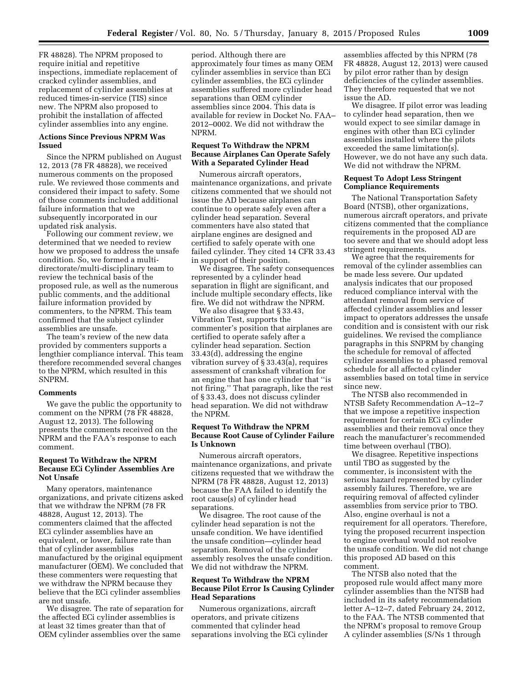FR 48828). The NPRM proposed to require initial and repetitive inspections, immediate replacement of cracked cylinder assemblies, and replacement of cylinder assemblies at reduced times-in-service (TIS) since new. The NPRM also proposed to prohibit the installation of affected cylinder assemblies into any engine.

## **Actions Since Previous NPRM Was Issued**

Since the NPRM published on August 12, 2013 (78 FR 48828), we received numerous comments on the proposed rule. We reviewed those comments and considered their impact to safety. Some of those comments included additional failure information that we subsequently incorporated in our updated risk analysis.

Following our comment review, we determined that we needed to review how we proposed to address the unsafe condition. So, we formed a multidirectorate/multi-disciplinary team to review the technical basis of the proposed rule, as well as the numerous public comments, and the additional failure information provided by commenters, to the NPRM. This team confirmed that the subject cylinder assemblies are unsafe.

The team's review of the new data provided by commenters supports a lengthier compliance interval. This team therefore recommended several changes to the NPRM, which resulted in this SNPRM.

#### **Comments**

We gave the public the opportunity to comment on the NPRM (78 FR 48828, August 12, 2013). The following presents the comments received on the NPRM and the FAA's response to each comment.

## **Request To Withdraw the NPRM Because ECi Cylinder Assemblies Are Not Unsafe**

Many operators, maintenance organizations, and private citizens asked that we withdraw the NPRM (78 FR 48828, August 12, 2013). The commenters claimed that the affected ECi cylinder assemblies have an equivalent, or lower, failure rate than that of cylinder assemblies manufactured by the original equipment manufacturer (OEM). We concluded that these commenters were requesting that we withdraw the NPRM because they believe that the ECi cylinder assemblies are not unsafe.

We disagree. The rate of separation for the affected ECi cylinder assemblies is at least 32 times greater than that of OEM cylinder assemblies over the same

period. Although there are approximately four times as many OEM cylinder assemblies in service than ECi cylinder assemblies, the ECi cylinder assemblies suffered more cylinder head separations than OEM cylinder assemblies since 2004. This data is available for review in Docket No. FAA– 2012–0002. We did not withdraw the NPRM.

## **Request To Withdraw the NPRM Because Airplanes Can Operate Safely With a Separated Cylinder Head**

Numerous aircraft operators, maintenance organizations, and private citizens commented that we should not issue the AD because airplanes can continue to operate safely even after a cylinder head separation. Several commenters have also stated that airplane engines are designed and certified to safely operate with one failed cylinder. They cited 14 CFR 33.43 in support of their position.

We disagree. The safety consequences represented by a cylinder head separation in flight are significant, and include multiple secondary effects, like fire. We did not withdraw the NPRM.

We also disagree that § 33.43, Vibration Test, supports the commenter's position that airplanes are certified to operate safely after a cylinder head separation. Section 33.43(d), addressing the engine vibration survey of § 33.43(a), requires assessment of crankshaft vibration for an engine that has one cylinder that ''is not firing.'' That paragraph, like the rest of § 33.43, does not discuss cylinder head separation. We did not withdraw the NPRM.

## **Request To Withdraw the NPRM Because Root Cause of Cylinder Failure Is Unknown**

Numerous aircraft operators, maintenance organizations, and private citizens requested that we withdraw the NPRM (78 FR 48828, August 12, 2013) because the FAA failed to identify the root cause(s) of cylinder head separations.

We disagree. The root cause of the cylinder head separation is not the unsafe condition. We have identified the unsafe condition—cylinder head separation. Removal of the cylinder assembly resolves the unsafe condition. We did not withdraw the NPRM.

## **Request To Withdraw the NPRM Because Pilot Error Is Causing Cylinder Head Separations**

Numerous organizations, aircraft operators, and private citizens commented that cylinder head separations involving the ECi cylinder

assemblies affected by this NPRM (78 FR 48828, August 12, 2013) were caused by pilot error rather than by design deficiencies of the cylinder assemblies. They therefore requested that we not issue the AD.

We disagree. If pilot error was leading to cylinder head separation, then we would expect to see similar damage in engines with other than ECi cylinder assemblies installed where the pilots exceeded the same limitation(s). However, we do not have any such data. We did not withdraw the NPRM.

## **Request To Adopt Less Stringent Compliance Requirements**

The National Transportation Safety Board (NTSB), other organizations, numerous aircraft operators, and private citizens commented that the compliance requirements in the proposed AD are too severe and that we should adopt less stringent requirements.

We agree that the requirements for removal of the cylinder assemblies can be made less severe. Our updated analysis indicates that our proposed reduced compliance interval with the attendant removal from service of affected cylinder assemblies and lesser impact to operators addresses the unsafe condition and is consistent with our risk guidelines. We revised the compliance paragraphs in this SNPRM by changing the schedule for removal of affected cylinder assemblies to a phased removal schedule for all affected cylinder assemblies based on total time in service since new.

The NTSB also recommended in NTSB Safety Recommendation A–12–7 that we impose a repetitive inspection requirement for certain ECi cylinder assemblies and their removal once they reach the manufacturer's recommended time between overhaul (TBO).

We disagree. Repetitive inspections until TBO as suggested by the commenter, is inconsistent with the serious hazard represented by cylinder assembly failures. Therefore, we are requiring removal of affected cylinder assemblies from service prior to TBO. Also, engine overhaul is not a requirement for all operators. Therefore, tying the proposed recurrent inspection to engine overhaul would not resolve the unsafe condition. We did not change this proposed AD based on this comment.

The NTSB also noted that the proposed rule would affect many more cylinder assemblies than the NTSB had included in its safety recommendation letter A–12–7, dated February 24, 2012, to the FAA. The NTSB commented that the NPRM's proposal to remove Group A cylinder assemblies (S/Ns 1 through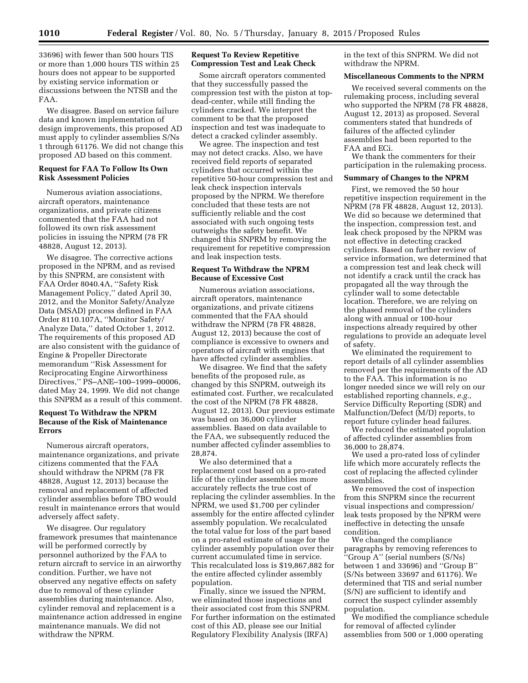33696) with fewer than 500 hours TIS or more than 1,000 hours TIS within 25 hours does not appear to be supported by existing service information or discussions between the NTSB and the FAA.

We disagree. Based on service failure data and known implementation of design improvements, this proposed AD must apply to cylinder assemblies S/Ns 1 through 61176. We did not change this proposed AD based on this comment.

## **Request for FAA To Follow Its Own Risk Assessment Policies**

Numerous aviation associations, aircraft operators, maintenance organizations, and private citizens commented that the FAA had not followed its own risk assessment policies in issuing the NPRM (78 FR 48828, August 12, 2013).

We disagree. The corrective actions proposed in the NPRM, and as revised by this SNPRM, are consistent with FAA Order 8040.4A, ''Safety Risk Management Policy,'' dated April 30, 2012, and the Monitor Safety/Analyze Data (MSAD) process defined in FAA Order 8110.107A, ''Monitor Safety/ Analyze Data,'' dated October 1, 2012. The requirements of this proposed AD are also consistent with the guidance of Engine & Propeller Directorate memorandum ''Risk Assessment for Reciprocating Engine Airworthiness Directives,'' PS–ANE–100–1999–00006, dated May 24, 1999. We did not change this SNPRM as a result of this comment.

## **Request To Withdraw the NPRM Because of the Risk of Maintenance Errors**

Numerous aircraft operators, maintenance organizations, and private citizens commented that the FAA should withdraw the NPRM (78 FR 48828, August 12, 2013) because the removal and replacement of affected cylinder assemblies before TBO would result in maintenance errors that would adversely affect safety.

We disagree. Our regulatory framework presumes that maintenance will be performed correctly by personnel authorized by the FAA to return aircraft to service in an airworthy condition. Further, we have not observed any negative effects on safety due to removal of these cylinder assemblies during maintenance. Also, cylinder removal and replacement is a maintenance action addressed in engine maintenance manuals. We did not withdraw the NPRM.

## **Request To Review Repetitive Compression Test and Leak Check**

Some aircraft operators commented that they successfully passed the compression test with the piston at topdead-center, while still finding the cylinders cracked. We interpret the comment to be that the proposed inspection and test was inadequate to detect a cracked cylinder assembly.

We agree. The inspection and test may not detect cracks. Also, we have received field reports of separated cylinders that occurred within the repetitive 50-hour compression test and leak check inspection intervals proposed by the NPRM. We therefore concluded that these tests are not sufficiently reliable and the cost associated with such ongoing tests outweighs the safety benefit. We changed this SNPRM by removing the requirement for repetitive compression and leak inspection tests.

## **Request To Withdraw the NPRM Because of Excessive Cost**

Numerous aviation associations, aircraft operators, maintenance organizations, and private citizens commented that the FAA should withdraw the NPRM (78 FR 48828, August 12, 2013) because the cost of compliance is excessive to owners and operators of aircraft with engines that have affected cylinder assemblies.

We disagree. We find that the safety benefits of the proposed rule, as changed by this SNPRM, outweigh its estimated cost. Further, we recalculated the cost of the NPRM (78 FR 48828, August 12, 2013). Our previous estimate was based on 36,000 cylinder assemblies. Based on data available to the FAA, we subsequently reduced the number affected cylinder assemblies to 28,874.

We also determined that a replacement cost based on a pro-rated life of the cylinder assemblies more accurately reflects the true cost of replacing the cylinder assemblies. In the NPRM, we used \$1,700 per cylinder assembly for the entire affected cylinder assembly population. We recalculated the total value for loss of the part based on a pro-rated estimate of usage for the cylinder assembly population over their current accumulated time in service. This recalculated loss is \$19,867,882 for the entire affected cylinder assembly population.

Finally, since we issued the NPRM, we eliminated those inspections and their associated cost from this SNPRM. For further information on the estimated cost of this AD, please see our Initial Regulatory Flexibility Analysis (IRFA)

in the text of this SNPRM. We did not withdraw the NPRM.

## **Miscellaneous Comments to the NPRM**

We received several comments on the rulemaking process, including several who supported the NPRM (78 FR 48828, August 12, 2013) as proposed. Several commenters stated that hundreds of failures of the affected cylinder assemblies had been reported to the FAA and ECi.

We thank the commenters for their participation in the rulemaking process.

## **Summary of Changes to the NPRM**

First, we removed the 50 hour repetitive inspection requirement in the NPRM (78 FR 48828, August 12, 2013). We did so because we determined that the inspection, compression test, and leak check proposed by the NPRM was not effective in detecting cracked cylinders. Based on further review of service information, we determined that a compression test and leak check will not identify a crack until the crack has propagated all the way through the cylinder wall to some detectable location. Therefore, we are relying on the phased removal of the cylinders along with annual or 100-hour inspections already required by other regulations to provide an adequate level of safety.

We eliminated the requirement to report details of all cylinder assemblies removed per the requirements of the AD to the FAA. This information is no longer needed since we will rely on our established reporting channels, *e.g.,*  Service Difficulty Reporting (SDR) and Malfunction/Defect (M/D) reports, to report future cylinder head failures.

We reduced the estimated population of affected cylinder assemblies from 36,000 to 28,874.

We used a pro-rated loss of cylinder life which more accurately reflects the cost of replacing the affected cylinder assemblies.

We removed the cost of inspection from this SNPRM since the recurrent visual inspections and compression/ leak tests proposed by the NPRM were ineffective in detecting the unsafe condition.

We changed the compliance paragraphs by removing references to ''Group A'' (serial numbers (S/Ns) between 1 and 33696) and ''Group B'' (S/Ns between 33697 and 61176). We determined that TIS and serial number (S/N) are sufficient to identify and correct the suspect cylinder assembly population.

We modified the compliance schedule for removal of affected cylinder assemblies from 500 or 1,000 operating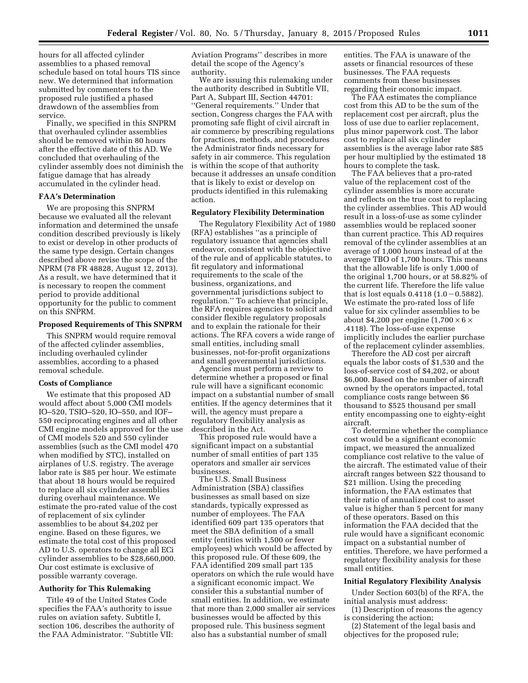hours for all affected cylinder assemblies to a phased removal schedule based on total hours TIS since new. We determined that information submitted by commenters to the proposed rule justified a phased drawdown of the assemblies from service.

Finally, we specified in this SNPRM that overhauled cylinder assemblies should be removed within 80 hours after the effective date of this AD. We concluded that overhauling of the cylinder assembly does not diminish the fatigue damage that has already accumulated in the cylinder head.

#### **FAA's Determination**

We are proposing this SNPRM because we evaluated all the relevant information and determined the unsafe condition described previously is likely to exist or develop in other products of the same type design. Certain changes described above revise the scope of the NPRM (78 FR 48828, August 12, 2013). As a result, we have determined that it is necessary to reopen the comment period to provide additional opportunity for the public to comment on this SNPRM.

#### **Proposed Requirements of This SNPRM**

This SNPRM would require removal of the affected cylinder assemblies, including overhauled cylinder assemblies, according to a phased removal schedule.

#### **Costs of Compliance**

We estimate that this proposed AD would affect about 5,000 CMI models IO–520, TSIO–520, IO–550, and IOF– 550 reciprocating engines and all other CMI engine models approved for the use of CMI models 520 and 550 cylinder assemblies (such as the CMI model 470 when modified by STC), installed on airplanes of U.S. registry. The average labor rate is \$85 per hour. We estimate that about 18 hours would be required to replace all six cylinder assemblies during overhaul maintenance. We estimate the pro-rated value of the cost of replacement of six cylinder assemblies to be about \$4,202 per engine. Based on these figures, we estimate the total cost of this proposed AD to U.S. operators to change all ECi cylinder assemblies to be \$28,660,000. Our cost estimate is exclusive of possible warranty coverage.

#### **Authority for This Rulemaking**

Title 49 of the United States Code specifies the FAA's authority to issue rules on aviation safety. Subtitle I, section 106, describes the authority of the FAA Administrator. ''Subtitle VII:

Aviation Programs'' describes in more detail the scope of the Agency's authority.

We are issuing this rulemaking under the authority described in Subtitle VII, Part A, Subpart III, Section 44701: ''General requirements.'' Under that section, Congress charges the FAA with promoting safe flight of civil aircraft in air commerce by prescribing regulations for practices, methods, and procedures the Administrator finds necessary for safety in air commerce. This regulation is within the scope of that authority because it addresses an unsafe condition that is likely to exist or develop on products identified in this rulemaking action.

## **Regulatory Flexibility Determination**

The Regulatory Flexibility Act of 1980 (RFA) establishes ''as a principle of regulatory issuance that agencies shall endeavor, consistent with the objective of the rule and of applicable statutes, to fit regulatory and informational requirements to the scale of the business, organizations, and governmental jurisdictions subject to regulation.'' To achieve that principle, the RFA requires agencies to solicit and consider flexible regulatory proposals and to explain the rationale for their actions. The RFA covers a wide range of small entities, including small businesses, not-for-profit organizations and small governmental jurisdictions.

Agencies must perform a review to determine whether a proposed or final rule will have a significant economic impact on a substantial number of small entities. If the agency determines that it will, the agency must prepare a regulatory flexibility analysis as described in the Act.

This proposed rule would have a significant impact on a substantial number of small entities of part 135 operators and smaller air services businesses.

The U.S. Small Business Administration (SBA) classifies businesses as small based on size standards, typically expressed as number of employees. The FAA identified 609 part 135 operators that meet the SBA definition of a small entity (entities with 1,500 or fewer employees) which would be affected by this proposed rule. Of these 609, the FAA identified 209 small part 135 operators on which the rule would have a significant economic impact. We consider this a substantial number of small entities. In addition, we estimate that more than 2,000 smaller air services businesses would be affected by this proposed rule. This business segment also has a substantial number of small

entities. The FAA is unaware of the assets or financial resources of these businesses. The FAA requests comments from these businesses regarding their economic impact.

The FAA estimates the compliance cost from this AD to be the sum of the replacement cost per aircraft, plus the loss of use due to earlier replacement, plus minor paperwork cost. The labor cost to replace all six cylinder assemblies is the average labor rate \$85 per hour multiplied by the estimated 18 hours to complete the task.

The FAA believes that a pro-rated value of the replacement cost of the cylinder assemblies is more accurate and reflects on the true cost to replacing the cylinder assemblies. This AD would result in a loss-of-use as some cylinder assemblies would be replaced sooner than current practice. This AD requires removal of the cylinder assemblies at an average of 1,000 hours instead of at the average TBO of 1,700 hours. This means that the allowable life is only 1,000 of the original 1,700 hours, or at 58.82% of the current life. Therefore the life value that is lost equals  $0.4118 (1.0 - 0.5882)$ . We estimate the pro-rated loss of life value for six cylinder assemblies to be about \$4,200 per engine  $(1,700 \times 6 \times$ .4118). The loss-of-use expense implicitly includes the earlier purchase of the replacement cylinder assemblies.

Therefore the AD cost per aircraft equals the labor costs of \$1,530 and the loss-of-service cost of \$4,202, or about \$6,000. Based on the number of aircraft owned by the operators impacted, total compliance costs range between \$6 thousand to \$525 thousand per small entity encompassing one to eighty-eight aircraft.

To determine whether the compliance cost would be a significant economic impact, we measured the annualized compliance cost relative to the value of the aircraft. The estimated value of their aircraft ranges between \$22 thousand to \$21 million. Using the preceding information, the FAA estimates that their ratio of annualized cost to asset value is higher than 5 percent for many of these operators. Based on this information the FAA decided that the rule would have a significant economic impact on a substantial number of entities. Therefore, we have performed a regulatory flexibility analysis for these small entities.

## **Initial Regulatory Flexibility Analysis**

Under Section 603(b) of the RFA, the initial analysis must address:

(1) Description of reasons the agency is considering the action;

(2) Statement of the legal basis and objectives for the proposed rule;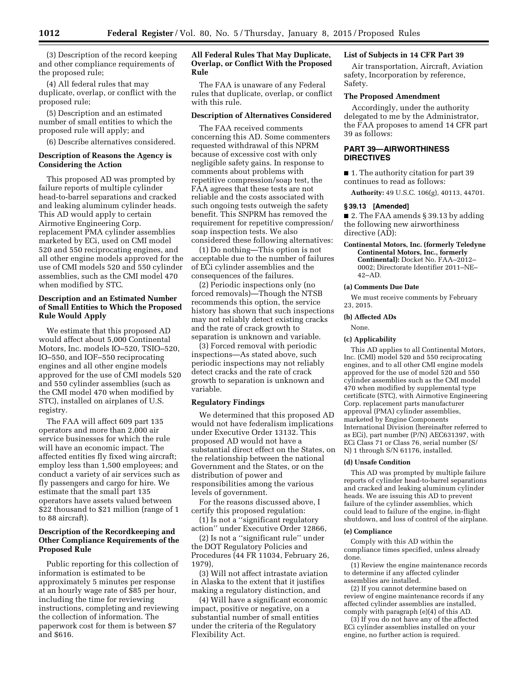(3) Description of the record keeping and other compliance requirements of the proposed rule;

(4) All federal rules that may duplicate, overlap, or conflict with the proposed rule;

(5) Description and an estimated number of small entities to which the proposed rule will apply; and

(6) Describe alternatives considered.

## **Description of Reasons the Agency is Considering the Action**

This proposed AD was prompted by failure reports of multiple cylinder head-to-barrel separations and cracked and leaking aluminum cylinder heads. This AD would apply to certain Airmotive Engineering Corp. replacement PMA cylinder assemblies marketed by ECi, used on CMI model 520 and 550 reciprocating engines, and all other engine models approved for the use of CMI models 520 and 550 cylinder assemblies, such as the CMI model 470 when modified by STC.

## **Description and an Estimated Number of Small Entities to Which the Proposed Rule Would Apply**

We estimate that this proposed AD would affect about 5,000 Continental Motors, Inc. models IO–520, TSIO–520, IO–550, and IOF–550 reciprocating engines and all other engine models approved for the use of CMI models 520 and 550 cylinder assemblies (such as the CMI model 470 when modified by STC), installed on airplanes of U.S. registry.

The FAA will affect 609 part 135 operators and more than 2,000 air service businesses for which the rule will have an economic impact. The affected entities fly fixed wing aircraft; employ less than 1,500 employees; and conduct a variety of air services such as fly passengers and cargo for hire. We estimate that the small part 135 operators have assets valued between \$22 thousand to \$21 million (range of 1 to 88 aircraft).

## **Description of the Recordkeeping and Other Compliance Requirements of the Proposed Rule**

Public reporting for this collection of information is estimated to be approximately 5 minutes per response at an hourly wage rate of \$85 per hour, including the time for reviewing instructions, completing and reviewing the collection of information. The paperwork cost for them is between \$7 and \$616.

## **All Federal Rules That May Duplicate, Overlap, or Conflict With the Proposed Rule**

The FAA is unaware of any Federal rules that duplicate, overlap, or conflict with this rule.

#### **Description of Alternatives Considered**

The FAA received comments concerning this AD. Some commenters requested withdrawal of this NPRM because of excessive cost with only negligible safety gains. In response to comments about problems with repetitive compression/soap test, the FAA agrees that these tests are not reliable and the costs associated with such ongoing tests outweigh the safety benefit. This SNPRM has removed the requirement for repetitive compression/ soap inspection tests. We also considered these following alternatives:

(1) Do nothing—This option is not acceptable due to the number of failures of ECi cylinder assemblies and the consequences of the failures.

(2) Periodic inspections only (no forced removals)—Though the NTSB recommends this option, the service history has shown that such inspections may not reliably detect existing cracks and the rate of crack growth to separation is unknown and variable.

(3) Forced removal with periodic inspections—As stated above, such periodic inspections may not reliably detect cracks and the rate of crack growth to separation is unknown and variable.

## **Regulatory Findings**

We determined that this proposed AD would not have federalism implications under Executive Order 13132. This proposed AD would not have a substantial direct effect on the States, on the relationship between the national Government and the States, or on the distribution of power and responsibilities among the various levels of government.

For the reasons discussed above, I certify this proposed regulation:

(1) Is not a ''significant regulatory action'' under Executive Order 12866,

(2) Is not a ''significant rule'' under the DOT Regulatory Policies and Procedures (44 FR 11034, February 26, 1979),

(3) Will not affect intrastate aviation in Alaska to the extent that it justifies making a regulatory distinction, and

(4) Will have a significant economic impact, positive or negative, on a substantial number of small entities under the criteria of the Regulatory Flexibility Act.

## **List of Subjects in 14 CFR Part 39**

Air transportation, Aircraft, Aviation safety, Incorporation by reference, Safety.

## **The Proposed Amendment**

Accordingly, under the authority delegated to me by the Administrator, the FAA proposes to amend 14 CFR part 39 as follows:

## **PART 39—AIRWORTHINESS DIRECTIVES**

■ 1. The authority citation for part 39 continues to read as follows:

**Authority:** 49 U.S.C. 106(g), 40113, 44701.

#### **§ 39.13 [Amended]**

■ 2. The FAA amends § 39.13 by adding the following new airworthiness directive (AD):

## **Continental Motors, Inc. (formerly Teledyne Continental Motors, Inc., formerly Continental):** Docket No. FAA–2012– 0002; Directorate Identifier 2011–NE– 42–AD.

#### **(a) Comments Due Date**

We must receive comments by February 23, 2015.

## **(b) Affected ADs**

None.

#### **(c) Applicability**

This AD applies to all Continental Motors, Inc. (CMI) model 520 and 550 reciprocating engines, and to all other CMI engine models approved for the use of model 520 and 550 cylinder assemblies such as the CMI model 470 when modified by supplemental type certificate (STC), with Airmotive Engineering Corp. replacement parts manufacturer approval (PMA) cylinder assemblies, marketed by Engine Components International Division (hereinafter referred to as ECi), part number (P/N) AEC631397, with ECi Class 71 or Class 76, serial number (S/ N) 1 through S/N 61176, installed.

## **(d) Unsafe Condition**

This AD was prompted by multiple failure reports of cylinder head-to-barrel separations and cracked and leaking aluminum cylinder heads. We are issuing this AD to prevent failure of the cylinder assemblies, which could lead to failure of the engine, in-flight shutdown, and loss of control of the airplane.

#### **(e) Compliance**

Comply with this AD within the compliance times specified, unless already done.

(1) Review the engine maintenance records to determine if any affected cylinder assemblies are installed.

(2) If you cannot determine based on review of engine maintenance records if any affected cylinder assemblies are installed, comply with paragraph (e)(4) of this AD.

(3) If you do not have any of the affected ECi cylinder assemblies installed on your engine, no further action is required.